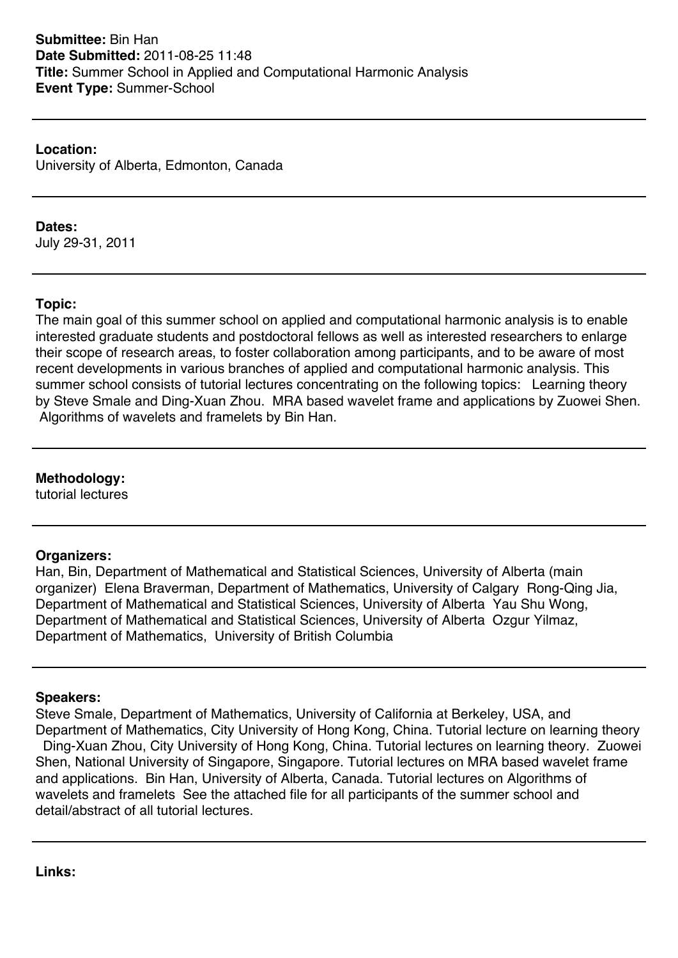**Location:** University of Alberta, Edmonton, Canada

#### **Dates:**

July 29-31, 2011

### **Topic:**

The main goal of this summer school on applied and computational harmonic analysis is to enable interested graduate students and postdoctoral fellows as well as interested researchers to enlarge their scope of research areas, to foster collaboration among participants, and to be aware of most recent developments in various branches of applied and computational harmonic analysis. This summer school consists of tutorial lectures concentrating on the following topics: Learning theory by Steve Smale and Ding-Xuan Zhou. MRA based wavelet frame and applications by Zuowei Shen. Algorithms of wavelets and framelets by Bin Han.

# **Methodology:**

tutorial lectures

### **Organizers:**

Han, Bin, Department of Mathematical and Statistical Sciences, University of Alberta (main organizer) Elena Braverman, Department of Mathematics, University of Calgary Rong-Qing Jia, Department of Mathematical and Statistical Sciences, University of Alberta Yau Shu Wong, Department of Mathematical and Statistical Sciences, University of Alberta Ozgur Yilmaz, Department of Mathematics, University of British Columbia

### **Speakers:**

Steve Smale, Department of Mathematics, University of California at Berkeley, USA, and Department of Mathematics, City University of Hong Kong, China. Tutorial lecture on learning theory Ding-Xuan Zhou, City University of Hong Kong, China. Tutorial lectures on learning theory. Zuowei Shen, National University of Singapore, Singapore. Tutorial lectures on MRA based wavelet frame and applications. Bin Han, University of Alberta, Canada. Tutorial lectures on Algorithms of wavelets and framelets See the attached file for all participants of the summer school and detail/abstract of all tutorial lectures.

**Links:**